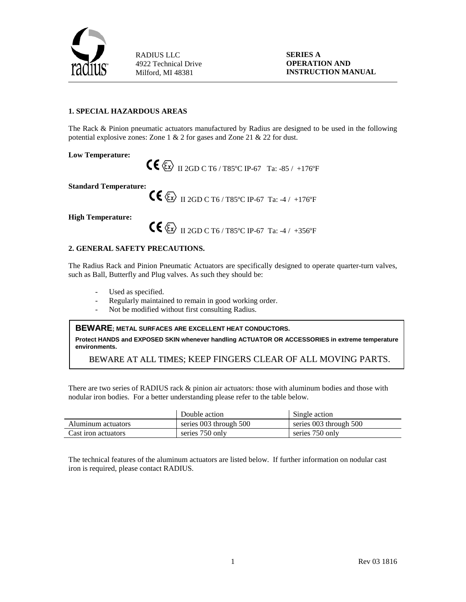

**SERIES A OPERATION AND INSTRUCTION MANUAL**

### **1. SPECIAL HAZARDOUS AREAS**

The Rack & Pinion pneumatic actuators manufactured by Radius are designed to be used in the following potential explosive zones: Zone 1 & 2 for gases and Zone 21 & 22 for dust.

**Low Temperature:**

II 2GD C T6 / T85ºC IP-67 Ta: -85 / +176ºF

**Standard Temperature:**

II 2GD C T6 / T85ºC IP-67 Ta: -4 / +176ºF

**High Temperature:**

II 2GD C T6 / T85ºC IP-67 Ta: -4 / +356ºF

### **2. GENERAL SAFETY PRECAUTIONS.**

The Radius Rack and Pinion Pneumatic Actuators are specifically designed to operate quarter-turn valves, such as Ball, Butterfly and Plug valves. As such they should be:

- Used as specified.
- Regularly maintained to remain in good working order.
- Not be modified without first consulting Radius.

**BEWARE; METAL SURFACES ARE EXCELLENT HEAT CONDUCTORS.**

**Protect HANDS and EXPOSED SKIN whenever handling ACTUATOR OR ACCESSORIES in extreme temperature environments.**

BEWARE AT ALL TIMES; KEEP FINGERS CLEAR OF ALL MOVING PARTS.

There are two series of RADIUS rack & pinion air actuators: those with aluminum bodies and those with nodular iron bodies. For a better understanding please refer to the table below.

|                     | Double action          | Single action          |
|---------------------|------------------------|------------------------|
| Aluminum actuators  | series 003 through 500 | series 003 through 500 |
| Cast iron actuators | series 750 only        | series 750 only        |

The technical features of the aluminum actuators are listed below. If further information on nodular cast iron is required, please contact RADIUS.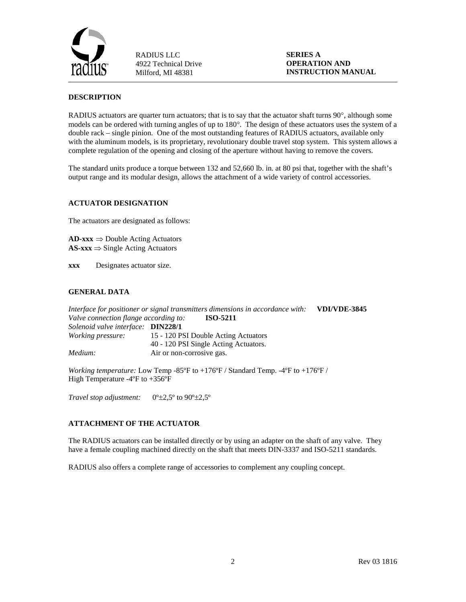

**SERIES A OPERATION AND INSTRUCTION MANUAL**

### **DESCRIPTION**

RADIUS actuators are quarter turn actuators; that is to say that the actuator shaft turns 90°, although some models can be ordered with turning angles of up to 180°. The design of these actuators uses the system of a double rack – single pinion. One of the most outstanding features of RADIUS actuators, available only with the aluminum models, is its proprietary, revolutionary double travel stop system. This system allows a complete regulation of the opening and closing of the aperture without having to remove the covers.

The standard units produce a torque between 132 and 52,660 lb. in. at 80 psi that, together with the shaft's output range and its modular design, allows the attachment of a wide variety of control accessories.

### **ACTUATOR DESIGNATION**

The actuators are designated as follows:

**AD-xxx** ⇒ Double Acting Actuators **AS-xxx** ⇒ Single Acting Actuators

**xxx** Designates actuator size.

### **GENERAL DATA**

*Interface for positioner or signal transmitters dimensions in accordance with:* **VDI/VDE-3845** *Valve connection flange according to:* **ISO-5211** *Solenoid valve interface:* **DIN228/1** *Working pressure:* 15 - 120 PSI Double Acting Actuators 40 - 120 PSI Single Acting Actuators. *Medium:* Air or non-corrosive gas.

*Working temperature:* Low Temp -85ºF to +176ºF / Standard Temp. -4ºF to +176ºF / High Temperature -4ºF to +356ºF

*Travel stop adjustment:*  $0^\circ \pm 2.5^\circ$  to  $90^\circ \pm 2.5^\circ$ 

### **ATTACHMENT OF THE ACTUATOR**

The RADIUS actuators can be installed directly or by using an adapter on the shaft of any valve. They have a female coupling machined directly on the shaft that meets DIN-3337 and ISO-5211 standards.

RADIUS also offers a complete range of accessories to complement any coupling concept.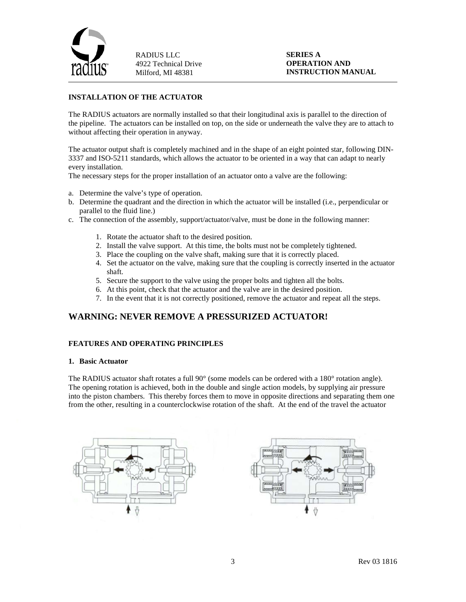

### **SERIES A OPERATION AND INSTRUCTION MANUAL**

### **INSTALLATION OF THE ACTUATOR**

The RADIUS actuators are normally installed so that their longitudinal axis is parallel to the direction of the pipeline. The actuators can be installed on top, on the side or underneath the valve they are to attach to without affecting their operation in anyway.

The actuator output shaft is completely machined and in the shape of an eight pointed star, following DIN-3337 and ISO-5211 standards, which allows the actuator to be oriented in a way that can adapt to nearly every installation.

The necessary steps for the proper installation of an actuator onto a valve are the following:

- a. Determine the valve's type of operation.
- b. Determine the quadrant and the direction in which the actuator will be installed (i.e., perpendicular or parallel to the fluid line.)
- c. The connection of the assembly, support/actuator/valve, must be done in the following manner:
	- 1. Rotate the actuator shaft to the desired position.
	- 2. Install the valve support. At this time, the bolts must not be completely tightened.
	- 3. Place the coupling on the valve shaft, making sure that it is correctly placed.
	- 4. Set the actuator on the valve, making sure that the coupling is correctly inserted in the actuator shaft.
	- 5. Secure the support to the valve using the proper bolts and tighten all the bolts.
	- 6. At this point, check that the actuator and the valve are in the desired position.
	- 7. In the event that it is not correctly positioned, remove the actuator and repeat all the steps.

# **WARNING: NEVER REMOVE A PRESSURIZED ACTUATOR!**

#### **FEATURES AND OPERATING PRINCIPLES**

#### **1. Basic Actuator**

The RADIUS actuator shaft rotates a full 90 $^{\circ}$  (some models can be ordered with a 180 $^{\circ}$  rotation angle). The opening rotation is achieved, both in the double and single action models, by supplying air pressure into the piston chambers. This thereby forces them to move in opposite directions and separating them one from the other, resulting in a counterclockwise rotation of the shaft. At the end of the travel the actuator



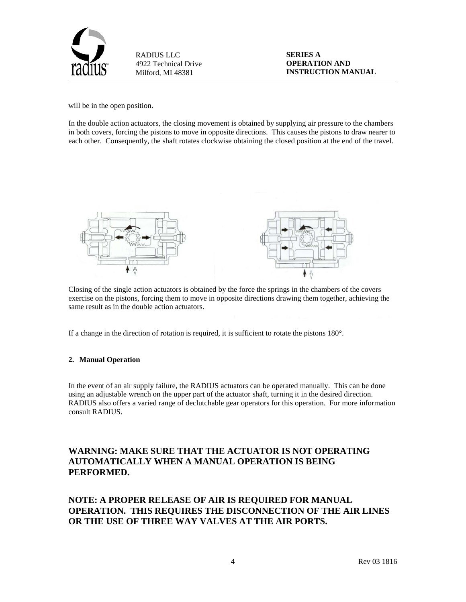

**SERIES A OPERATION AND INSTRUCTION MANUAL**

will be in the open position.

In the double action actuators, the closing movement is obtained by supplying air pressure to the chambers in both covers, forcing the pistons to move in opposite directions. This causes the pistons to draw nearer to each other. Consequently, the shaft rotates clockwise obtaining the closed position at the end of the travel.



Closing of the single action actuators is obtained by the force the springs in the chambers of the covers exercise on the pistons, forcing them to move in opposite directions drawing them together, achieving the same result as in the double action actuators.

If a change in the direction of rotation is required, it is sufficient to rotate the pistons 180°.

### **2. Manual Operation**

In the event of an air supply failure, the RADIUS actuators can be operated manually. This can be done using an adjustable wrench on the upper part of the actuator shaft, turning it in the desired direction. RADIUS also offers a varied range of declutchable gear operators for this operation. For more information consult RADIUS.

# **WARNING: MAKE SURE THAT THE ACTUATOR IS NOT OPERATING AUTOMATICALLY WHEN A MANUAL OPERATION IS BEING PERFORMED.**

**NOTE: A PROPER RELEASE OF AIR IS REQUIRED FOR MANUAL OPERATION. THIS REQUIRES THE DISCONNECTION OF THE AIR LINES OR THE USE OF THREE WAY VALVES AT THE AIR PORTS.**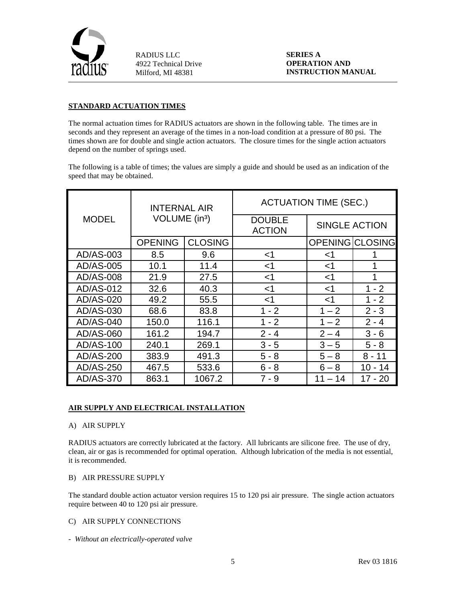

**SERIES A OPERATION AND INSTRUCTION MANUAL**

### **STANDARD ACTUATION TIMES**

The normal actuation times for RADIUS actuators are shown in the following table. The times are in seconds and they represent an average of the times in a non-load condition at a pressure of 80 psi. The times shown are for double and single action actuators. The closure times for the single action actuators depend on the number of springs used.

The following is a table of times; the values are simply a guide and should be used as an indication of the speed that may be obtained.

| <b>INTERNAL AIR</b> |                           |                | <b>ACTUATION TIME (SEC.)</b>   |                        |         |
|---------------------|---------------------------|----------------|--------------------------------|------------------------|---------|
| <b>MODEL</b>        | VOLUME (in <sup>3</sup> ) |                | <b>DOUBLE</b><br><b>ACTION</b> | SINGLE ACTION          |         |
|                     | <b>OPENING</b>            | <b>CLOSING</b> |                                | <b>OPENING CLOSING</b> |         |
| AD/AS-003           | 8.5                       | 9.6            | $<$ 1                          | ا>                     |         |
| AD/AS-005           | 10.1                      | 11.4           | ${<}1$                         | ا>                     | 1       |
| AD/AS-008           | 21.9                      | 27.5           | $<$ 1                          | <1                     | 1       |
| AD/AS-012           | 32.6                      | 40.3           | $<$ 1                          | $<$ 1                  | $1 - 2$ |
| AD/AS-020           | 49.2                      | 55.5           | $<$ 1                          | $<$ 1                  | $1 - 2$ |
| AD/AS-030           | 68.6                      | 83.8           | $1 - 2$                        | $1 - 2$                | $2 - 3$ |
| AD/AS-040           | 150.0                     | 116.1          | $1 - 2$                        | $1 - 2$                | $2 - 4$ |
| AD/AS-060           | 161.2                     | 194.7          | $2 - 4$                        | $2 - 4$                | $3 - 6$ |
| AD/AS-100           | 240.1                     | 269.1          | $3 - 5$                        | $3 - 5$                | 5 - 8   |
| AD/AS-200           | 383.9                     | 491.3          | 5 - 8                          | $5 - 8$                | 8 - 11  |
| AD/AS-250           | 467.5                     | 533.6          | $6 - 8$                        | $6 - 8$                | 10 - 14 |
| AD/AS-370           | 863.1                     | 1067.2         | 7 - 9                          | $-14$<br>11            | 17 - 20 |

### **AIR SUPPLY AND ELECTRICAL INSTALLATION**

### A) AIR SUPPLY

RADIUS actuators are correctly lubricated at the factory. All lubricants are silicone free. The use of dry, clean, air or gas is recommended for optimal operation. Although lubrication of the media is not essential, it is recommended.

### B) AIR PRESSURE SUPPLY

The standard double action actuator version requires 15 to 120 psi air pressure. The single action actuators require between 40 to 120 psi air pressure.

### C) AIR SUPPLY CONNECTIONS

*- Without an electrically-operated valve*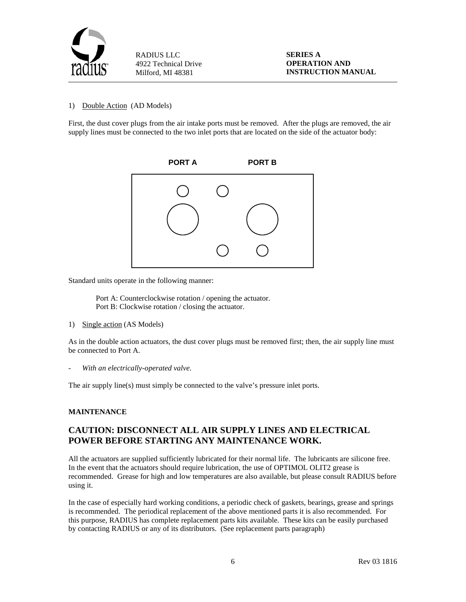

#### 1) Double Action (AD Models)

First, the dust cover plugs from the air intake ports must be removed. After the plugs are removed, the air supply lines must be connected to the two inlet ports that are located on the side of the actuator body:



Standard units operate in the following manner:

Port A: Counterclockwise rotation / opening the actuator. Port B: Clockwise rotation / closing the actuator.

1) Single action (AS Models)

As in the double action actuators, the dust cover plugs must be removed first; then, the air supply line must be connected to Port A.

- *With an electrically-operated valve.*

The air supply line(s) must simply be connected to the valve's pressure inlet ports.

### **MAINTENANCE**

# **CAUTION: DISCONNECT ALL AIR SUPPLY LINES AND ELECTRICAL POWER BEFORE STARTING ANY MAINTENANCE WORK.**

All the actuators are supplied sufficiently lubricated for their normal life. The lubricants are silicone free. In the event that the actuators should require lubrication, the use of OPTIMOL OLIT2 grease is recommended. Grease for high and low temperatures are also available, but please consult RADIUS before using it.

In the case of especially hard working conditions, a periodic check of gaskets, bearings, grease and springs is recommended. The periodical replacement of the above mentioned parts it is also recommended. For this purpose, RADIUS has complete replacement parts kits available. These kits can be easily purchased by contacting RADIUS or any of its distributors. (See replacement parts paragraph)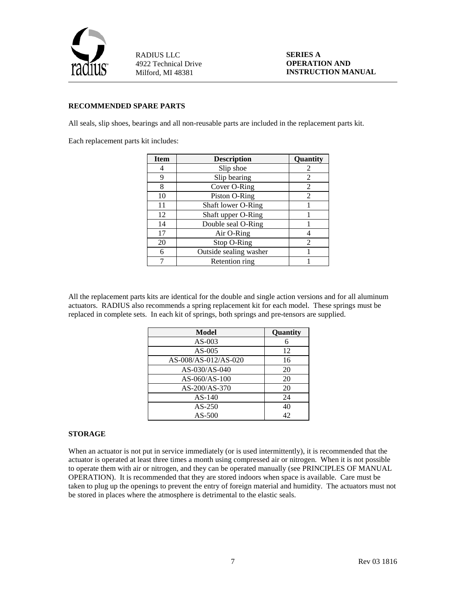

**SERIES A OPERATION AND INSTRUCTION MANUAL**

### **RECOMMENDED SPARE PARTS**

All seals, slip shoes, bearings and all non-reusable parts are included in the replacement parts kit.

Each replacement parts kit includes:

| <b>Item</b> | <b>Description</b>     | Quantity       |
|-------------|------------------------|----------------|
|             | Slip shoe              | 2              |
| 9           | Slip bearing           | 2              |
| 8           | Cover O-Ring           | 2              |
| 10          | Piston O-Ring          | 2              |
| 11          | Shaft lower O-Ring     |                |
| 12          | Shaft upper O-Ring     |                |
| 14          | Double seal O-Ring     |                |
| 17          | Air O-Ring             |                |
| 20          | Stop O-Ring            | $\mathfrak{D}$ |
| 6           | Outside sealing washer |                |
|             | Retention ring         |                |

All the replacement parts kits are identical for the double and single action versions and for all aluminum actuators. RADIUS also recommends a spring replacement kit for each model. These springs must be replaced in complete sets. In each kit of springs, both springs and pre-tensors are supplied.

| Model                | Quantity |
|----------------------|----------|
| $AS-003$             | 6        |
| $AS-005$             | 12       |
| AS-008/AS-012/AS-020 | 16       |
| AS-030/AS-040        | 20       |
| $AS-060/AS-100$      | 20       |
| AS-200/AS-370        | 20       |
| $AS-140$             | 24       |
| $AS-250$             | 40       |
| $AS-500$             | 42       |

### **STORAGE**

When an actuator is not put in service immediately (or is used intermittently), it is recommended that the actuator is operated at least three times a month using compressed air or nitrogen. When it is not possible to operate them with air or nitrogen, and they can be operated manually (see PRINCIPLES OF MANUAL OPERATION). It is recommended that they are stored indoors when space is available. Care must be taken to plug up the openings to prevent the entry of foreign material and humidity. The actuators must not be stored in places where the atmosphere is detrimental to the elastic seals.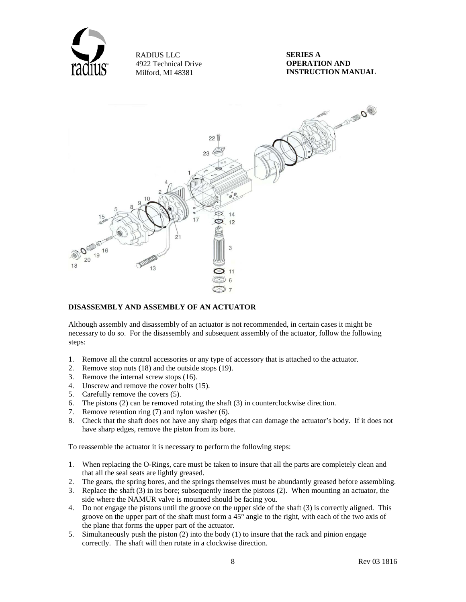



### **DISASSEMBLY AND ASSEMBLY OF AN ACTUATOR**

Although assembly and disassembly of an actuator is not recommended, in certain cases it might be necessary to do so. For the disassembly and subsequent assembly of the actuator, follow the following steps:

- 1. Remove all the control accessories or any type of accessory that is attached to the actuator.
- 2. Remove stop nuts (18) and the outside stops (19).
- 3. Remove the internal screw stops (16).
- 4. Unscrew and remove the cover bolts (15).
- 5. Carefully remove the covers (5).
- 6. The pistons (2) can be removed rotating the shaft (3) in counterclockwise direction.
- 7. Remove retention ring (7) and nylon washer (6).
- 8. Check that the shaft does not have any sharp edges that can damage the actuator's body. If it does not have sharp edges, remove the piston from its bore.

To reassemble the actuator it is necessary to perform the following steps:

- 1. When replacing the O-Rings, care must be taken to insure that all the parts are completely clean and that all the seal seats are lightly greased.
- 2. The gears, the spring bores, and the springs themselves must be abundantly greased before assembling.
- 3. Replace the shaft (3) in its bore; subsequently insert the pistons (2). When mounting an actuator, the side where the NAMUR valve is mounted should be facing you.
- 4. Do not engage the pistons until the groove on the upper side of the shaft (3) is correctly aligned. This groove on the upper part of the shaft must form a 45° angle to the right, with each of the two axis of the plane that forms the upper part of the actuator.
- 5. Simultaneously push the piston (2) into the body (1) to insure that the rack and pinion engage correctly. The shaft will then rotate in a clockwise direction.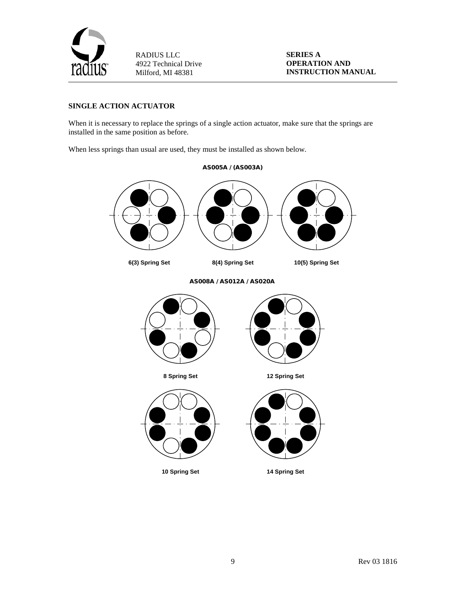

**SERIES A OPERATION AND INSTRUCTION MANUAL**

## **SINGLE ACTION ACTUATOR**

When it is necessary to replace the springs of a single action actuator, make sure that the springs are installed in the same position as before.

When less springs than usual are used, they must be installed as shown below.

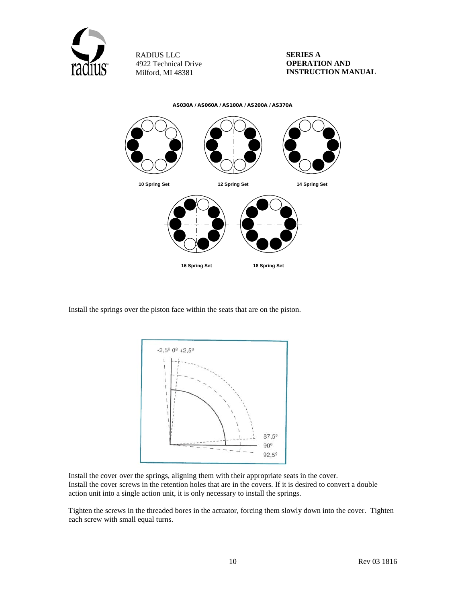



Install the springs over the piston face within the seats that are on the piston.



Install the cover over the springs, aligning them with their appropriate seats in the cover. Install the cover screws in the retention holes that are in the covers. If it is desired to convert a double action unit into a single action unit, it is only necessary to install the springs.

Tighten the screws in the threaded bores in the actuator, forcing them slowly down into the cover. Tighten each screw with small equal turns.